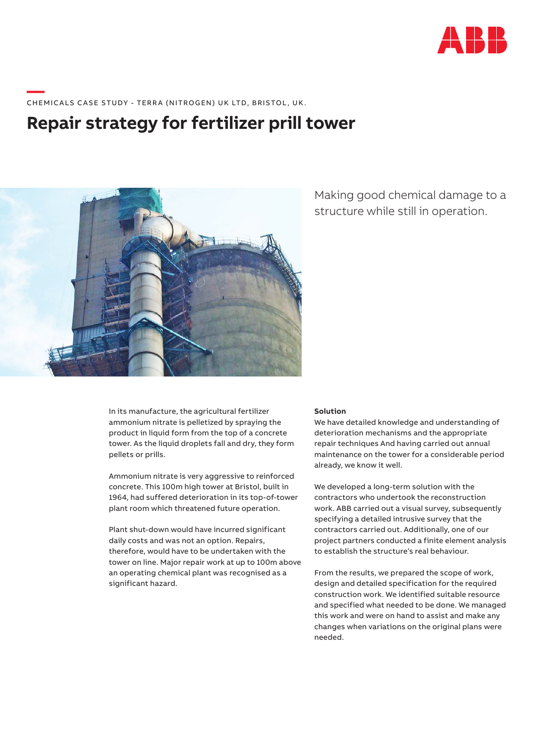

# \_\_\_\_\_<br>CHEMICALS CASE STUDY - TERRA (NITROGEN) UK LTD, BRISTOL, UK.

## **Repair strategy for fertilizer prill tower**



Making good chemical damage to a structure while still in operation.

In its manufacture, the agricultural fertilizer ammonium nitrate is pelletized by spraying the product in liquid form from the top of a concrete tower. As the liquid droplets fall and dry, they form pellets or prills.

Ammonium nitrate is very aggressive to reinforced concrete. This 100m high tower at Bristol, built in 1964, had suffered deterioration in its top-of-tower plant room which threatened future operation.

Plant shut-down would have incurred significant daily costs and was not an option. Repairs, therefore, would have to be undertaken with the tower on line. Major repair work at up to 100m above an operating chemical plant was recognised as a significant hazard.

#### **Solution**

We have detailed knowledge and understanding of deterioration mechanisms and the appropriate repair techniques And having carried out annual maintenance on the tower for a considerable period already, we know it well.

We developed a long-term solution with the contractors who undertook the reconstruction work. ABB carried out a visual survey, subsequently specifying a detailed intrusive survey that the contractors carried out. Additionally, one of our project partners conducted a finite element analysis to establish the structure's real behaviour.

From the results, we prepared the scope of work, design and detailed specification for the required construction work. We identified suitable resource and specified what needed to be done. We managed this work and were on hand to assist and make any changes when variations on the original plans were needed.